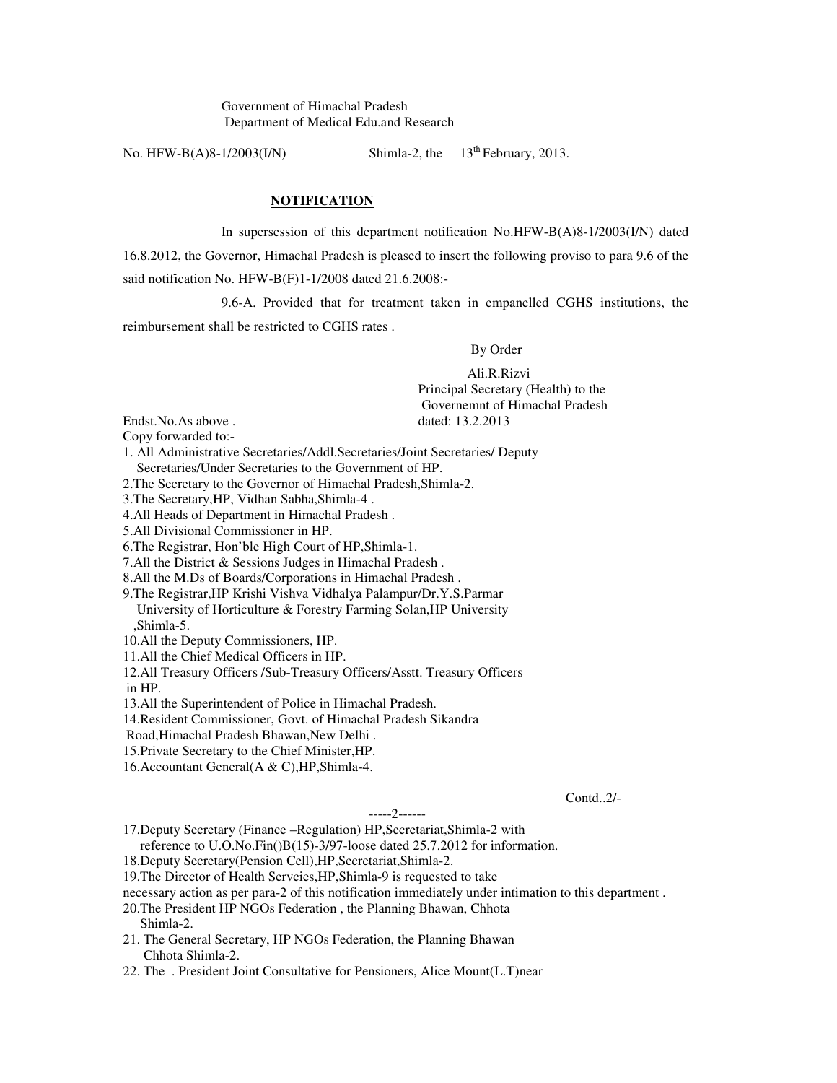Government of Himachal Pradesh Department of Medical Edu.and Research

No. HFW-B(A)8-1/2003(I/N) Shimla-2, the  $13<sup>th</sup>$  February, 2013.

## **NOTIFICATION**

 In supersession of this department notification No.HFW-B(A)8-1/2003(I/N) dated 16.8.2012, the Governor, Himachal Pradesh is pleased to insert the following proviso to para 9.6 of the said notification No. HFW-B(F)1-1/2008 dated 21.6.2008:-

 9.6-A. Provided that for treatment taken in empanelled CGHS institutions, the reimbursement shall be restricted to CGHS rates .

By Order

 Ali.R.Rizvi Principal Secretary (Health) to the Governemnt of Himachal Pradesh Endst.No.As above . dated: 13.2.2013

Copy forwarded to:-

1. All Administrative Secretaries/Addl.Secretaries/Joint Secretaries/ Deputy Secretaries/Under Secretaries to the Government of HP.

2.The Secretary to the Governor of Himachal Pradesh,Shimla-2.

3.The Secretary,HP, Vidhan Sabha,Shimla-4 .

4.All Heads of Department in Himachal Pradesh .

5.All Divisional Commissioner in HP.

6.The Registrar, Hon'ble High Court of HP,Shimla-1.

7.All the District & Sessions Judges in Himachal Pradesh .

8.All the M.Ds of Boards/Corporations in Himachal Pradesh .

9.The Registrar,HP Krishi Vishva Vidhalya Palampur/Dr.Y.S.Parmar University of Horticulture & Forestry Farming Solan,HP University ,Shimla-5.

10.All the Deputy Commissioners, HP.

11.All the Chief Medical Officers in HP.

12.All Treasury Officers /Sub-Treasury Officers/Asstt. Treasury Officers in HP.

13.All the Superintendent of Police in Himachal Pradesh.

14.Resident Commissioner, Govt. of Himachal Pradesh Sikandra

Road,Himachal Pradesh Bhawan,New Delhi .

15.Private Secretary to the Chief Minister,HP.

16.Accountant General(A & C),HP,Shimla-4.

Contd..2/-

-----2------

17.Deputy Secretary (Finance –Regulation) HP,Secretariat,Shimla-2 with

reference to U.O.No.Fin()B(15)-3/97-loose dated 25.7.2012 for information.

18.Deputy Secretary(Pension Cell),HP,Secretariat,Shimla-2.

19.The Director of Health Servcies,HP,Shimla-9 is requested to take

necessary action as per para-2 of this notification immediately under intimation to this department .

- 20.The President HP NGOs Federation , the Planning Bhawan, Chhota Shimla-2.
- 21. The General Secretary, HP NGOs Federation, the Planning Bhawan Chhota Shimla-2.

22. The . President Joint Consultative for Pensioners, Alice Mount(L.T)near